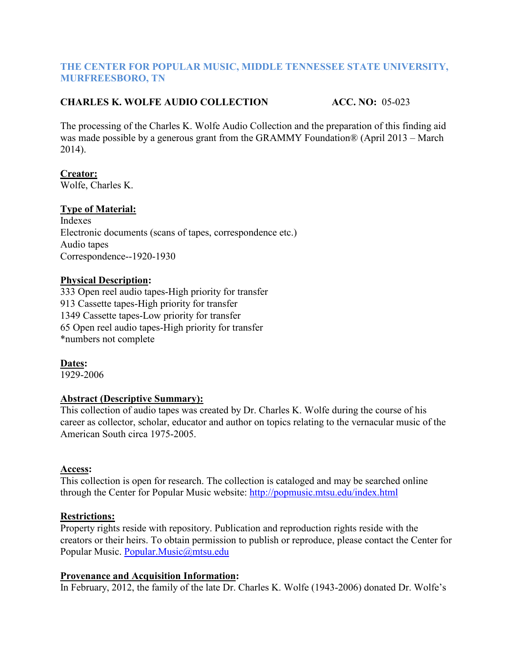#### **THE CENTER FOR POPULAR MUSIC, MIDDLE TENNESSEE STATE UNIVERSITY, MURFREESBORO, TN**

### **CHARLES K. WOLFE AUDIO COLLECTION ACC. NO:** 05-023

The processing of the Charles K. Wolfe Audio Collection and the preparation of this finding aid was made possible by a generous grant from the GRAMMY Foundation® (April 2013 – March 2014).

# **Creator:**

Wolfe, Charles K.

### **Type of Material:**

Indexes Electronic documents (scans of tapes, correspondence etc.) Audio tapes Correspondence--1920-1930

#### **Physical Description:**

333 Open reel audio tapes-High priority for transfer 913 Cassette tapes-High priority for transfer 1349 Cassette tapes-Low priority for transfer 65 Open reel audio tapes-High priority for transfer \*numbers not complete

**Dates:** 1929-2006

#### **Abstract (Descriptive Summary):**

This collection of audio tapes was created by Dr. Charles K. Wolfe during the course of his career as collector, scholar, educator and author on topics relating to the vernacular music of the American South circa 1975-2005.

#### **Access:**

This collection is open for research. The collection is cataloged and may be searched online through the Center for Popular Music website:<http://popmusic.mtsu.edu/index.html>

#### **Restrictions:**

Property rights reside with repository. Publication and reproduction rights reside with the creators or their heirs. To obtain permission to publish or reproduce, please contact the Center for Popular Music. [Popular.Music@mtsu.edu](mailto:Popular.Music@mtsu.edu)

#### **Provenance and Acquisition Information:**

In February, 2012, the family of the late Dr. Charles K. Wolfe (1943-2006) donated Dr. Wolfe's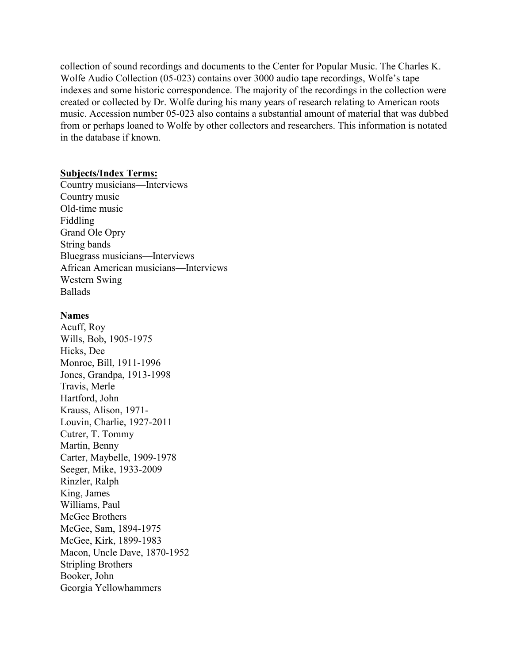collection of sound recordings and documents to the Center for Popular Music. The Charles K. Wolfe Audio Collection (05-023) contains over 3000 audio tape recordings, Wolfe's tape indexes and some historic correspondence. The majority of the recordings in the collection were created or collected by Dr. Wolfe during his many years of research relating to American roots music. Accession number 05-023 also contains a substantial amount of material that was dubbed from or perhaps loaned to Wolfe by other collectors and researchers. This information is notated in the database if known.

#### **Subjects/Index Terms:**

Country musicians—Interviews Country music Old-time music Fiddling Grand Ole Opry String bands Bluegrass musicians—Interviews African American musicians—Interviews Western Swing Ballads

#### **Names**

Acuff, Roy Wills, Bob, 1905-1975 Hicks, Dee Monroe, Bill, 1911-1996 Jones, Grandpa, 1913-1998 Travis, Merle Hartford, John Krauss, Alison, 1971- Louvin, Charlie, 1927-2011 Cutrer, T. Tommy Martin, Benny Carter, Maybelle, 1909-1978 Seeger, Mike, 1933-2009 Rinzler, Ralph King, James Williams, Paul McGee Brothers McGee, Sam, 1894-1975 McGee, Kirk, 1899-1983 Macon, Uncle Dave, 1870-1952 Stripling Brothers Booker, John Georgia Yellowhammers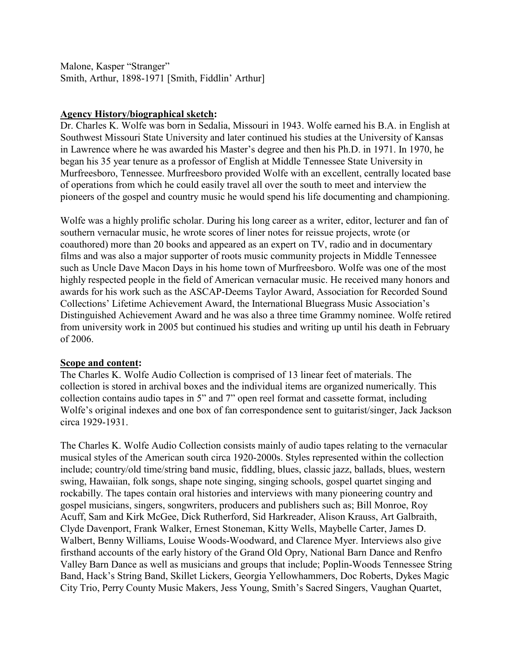Malone, Kasper "Stranger" Smith, Arthur, 1898-1971 [Smith, Fiddlin' Arthur]

#### **Agency History/biographical sketch:**

Dr. Charles K. Wolfe was born in Sedalia, Missouri in 1943. Wolfe earned his B.A. in English at Southwest Missouri State University and later continued his studies at the University of Kansas in Lawrence where he was awarded his Master's degree and then his Ph.D. in 1971. In 1970, he began his 35 year tenure as a professor of English at Middle Tennessee State University in Murfreesboro, Tennessee. Murfreesboro provided Wolfe with an excellent, centrally located base of operations from which he could easily travel all over the south to meet and interview the pioneers of the gospel and country music he would spend his life documenting and championing.

Wolfe was a highly prolific scholar. During his long career as a writer, editor, lecturer and fan of southern vernacular music, he wrote scores of liner notes for reissue projects, wrote (or coauthored) more than 20 books and appeared as an expert on TV, radio and in documentary films and was also a major supporter of roots music community projects in Middle Tennessee such as Uncle Dave Macon Days in his home town of Murfreesboro. Wolfe was one of the most highly respected people in the field of American vernacular music. He received many honors and awards for his work such as the ASCAP-Deems Taylor Award, Association for Recorded Sound Collections' Lifetime Achievement Award, the International Bluegrass Music Association's Distinguished Achievement Award and he was also a three time Grammy nominee. Wolfe retired from university work in 2005 but continued his studies and writing up until his death in February of 2006.

#### **Scope and content:**

The Charles K. Wolfe Audio Collection is comprised of 13 linear feet of materials. The collection is stored in archival boxes and the individual items are organized numerically. This collection contains audio tapes in 5" and 7" open reel format and cassette format, including Wolfe's original indexes and one box of fan correspondence sent to guitarist/singer, Jack Jackson circa 1929-1931.

The Charles K. Wolfe Audio Collection consists mainly of audio tapes relating to the vernacular musical styles of the American south circa 1920-2000s. Styles represented within the collection include; country/old time/string band music, fiddling, blues, classic jazz, ballads, blues, western swing, Hawaiian, folk songs, shape note singing, singing schools, gospel quartet singing and rockabilly. The tapes contain oral histories and interviews with many pioneering country and gospel musicians, singers, songwriters, producers and publishers such as; Bill Monroe, Roy Acuff, Sam and Kirk McGee, Dick Rutherford, Sid Harkreader, Alison Krauss, Art Galbraith, Clyde Davenport, Frank Walker, Ernest Stoneman, Kitty Wells, Maybelle Carter, James D. Walbert, Benny Williams, Louise Woods-Woodward, and Clarence Myer. Interviews also give firsthand accounts of the early history of the Grand Old Opry, National Barn Dance and Renfro Valley Barn Dance as well as musicians and groups that include; Poplin-Woods Tennessee String Band, Hack's String Band, Skillet Lickers, Georgia Yellowhammers, Doc Roberts, Dykes Magic City Trio, Perry County Music Makers, Jess Young, Smith's Sacred Singers, Vaughan Quartet,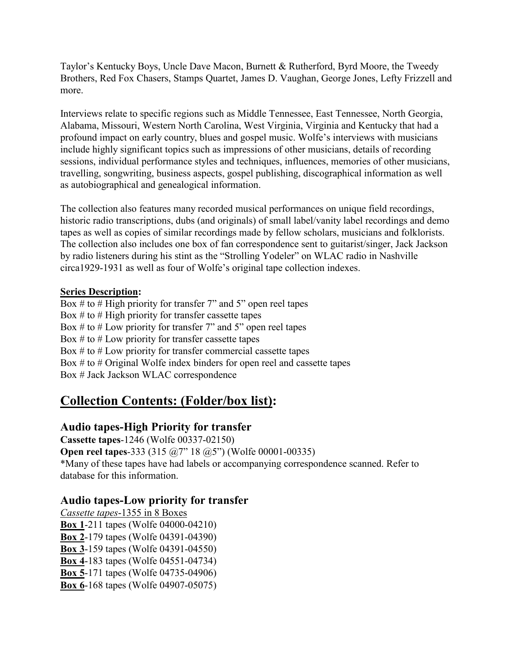Taylor's Kentucky Boys, Uncle Dave Macon, Burnett & Rutherford, Byrd Moore, the Tweedy Brothers, Red Fox Chasers, Stamps Quartet, James D. Vaughan, George Jones, Lefty Frizzell and more.

Interviews relate to specific regions such as Middle Tennessee, East Tennessee, North Georgia, Alabama, Missouri, Western North Carolina, West Virginia, Virginia and Kentucky that had a profound impact on early country, blues and gospel music. Wolfe's interviews with musicians include highly significant topics such as impressions of other musicians, details of recording sessions, individual performance styles and techniques, influences, memories of other musicians, travelling, songwriting, business aspects, gospel publishing, discographical information as well as autobiographical and genealogical information.

The collection also features many recorded musical performances on unique field recordings, historic radio transcriptions, dubs (and originals) of small label/vanity label recordings and demo tapes as well as copies of similar recordings made by fellow scholars, musicians and folklorists. The collection also includes one box of fan correspondence sent to guitarist/singer, Jack Jackson by radio listeners during his stint as the "Strolling Yodeler" on WLAC radio in Nashville circa1929-1931 as well as four of Wolfe's original tape collection indexes.

#### **Series Description:**

Box  $#$  to  $#$  High priority for transfer 7" and 5" open reel tapes Box  $#$  to  $#$  High priority for transfer cassette tapes Box # to # Low priority for transfer 7" and 5" open reel tapes Box  $\#$  to  $\#$  Low priority for transfer cassette tapes Box  $#$  to  $#$  Low priority for transfer commercial cassette tapes Box # to # Original Wolfe index binders for open reel and cassette tapes Box # Jack Jackson WLAC correspondence

# **Collection Contents: (Folder/box list):**

# **Audio tapes-High Priority for transfer**

**Cassette tapes**-1246 (Wolfe 00337-02150) **Open reel tapes-333 (315 @7" 18 @5") (Wolfe 00001-00335)** \*Many of these tapes have had labels or accompanying correspondence scanned. Refer to database for this information.

# **Audio tapes-Low priority for transfer**

*Cassette tapes*-1355 in 8 Boxes **Box 1**-211 tapes (Wolfe 04000-04210) **Box 2**-179 tapes (Wolfe 04391-04390) **Box 3**-159 tapes (Wolfe 04391-04550) **Box 4**-183 tapes (Wolfe 04551-04734) **Box 5**-171 tapes (Wolfe 04735-04906) **Box 6**-168 tapes (Wolfe 04907-05075)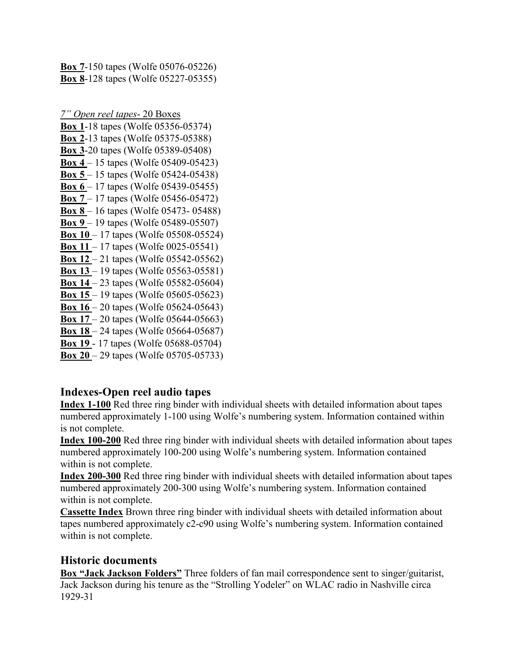**Box 7**-150 tapes (Wolfe 05076-05226) **Box 8**-128 tapes (Wolfe 05227-05355)

*7" Open reel tapes*- 20 Boxes

- **Box 1**-18 tapes (Wolfe 05356-05374) **Box 2**-13 tapes (Wolfe 05375-05388) **Box 3**-20 tapes (Wolfe 05389-05408) **Box 4** – 15 tapes (Wolfe 05409-05423) **Box 5** – 15 tapes (Wolfe 05424-05438) **Box 6** – 17 tapes (Wolfe 05439-05455) **Box 7** – 17 tapes (Wolfe 05456-05472) **Box 8** – 16 tapes (Wolfe 05473- 05488) **Box 9** – 19 tapes (Wolfe 05489-05507) **Box 10** – 17 tapes (Wolfe 05508-05524) **Box 11** – 17 tapes (Wolfe 0025-05541) **Box 12** – 21 tapes (Wolfe 05542-05562) **Box 13** – 19 tapes (Wolfe 05563-05581) **Box 14** – 23 tapes (Wolfe 05582-05604) **Box 15** – 19 tapes (Wolfe 05605-05623) **Box 16** – 20 tapes (Wolfe 05624-05643) **Box 17** – 20 tapes (Wolfe 05644-05663) **Box 18** – 24 tapes (Wolfe 05664-05687) **Box 19** - 17 tapes (Wolfe 05688-05704)
- **Box 20** 29 tapes (Wolfe 05705-05733)

# **Indexes-Open reel audio tapes**

**Index 1-100** Red three ring binder with individual sheets with detailed information about tapes numbered approximately 1-100 using Wolfe's numbering system. Information contained within is not complete.

**Index 100-200** Red three ring binder with individual sheets with detailed information about tapes numbered approximately 100-200 using Wolfe's numbering system. Information contained within is not complete.

**Index 200-300** Red three ring binder with individual sheets with detailed information about tapes numbered approximately 200-300 using Wolfe's numbering system. Information contained within is not complete.

**Cassette Index** Brown three ring binder with individual sheets with detailed information about tapes numbered approximately c2-c90 using Wolfe's numbering system. Information contained within is not complete.

# **Historic documents**

**Box "Jack Jackson Folders"** Three folders of fan mail correspondence sent to singer/guitarist, Jack Jackson during his tenure as the "Strolling Yodeler" on WLAC radio in Nashville circa 1929-31